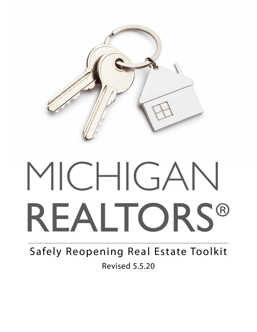

# MICHIGAN REALTORS®

Safely Reopening Real Estate Toolkit Revised 5.5.20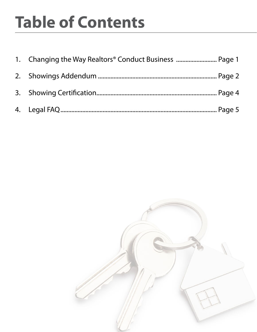# **Table of Contents**

| 1. Changing the Way Realtors <sup>®</sup> Conduct Business  Page 1 |  |
|--------------------------------------------------------------------|--|
|                                                                    |  |
|                                                                    |  |
|                                                                    |  |

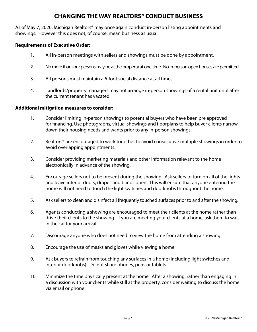## **CHANGING THE WAY REALTORS® CONDUCT BUSINESS**

As of May 7, 2020, Michigan Realtors<sup>®</sup> may once again conduct in-person listing appointments and showings. However this does not, of course, mean business as usual.

#### **Requirements of Executive Order:**

- 1. All in-person meetings with sellers and showings must be done by appointment.
- 2. No more than four persons may be at the property at one time. No in-person open houses are permitted.
- 3. All persons must maintain a 6-foot social distance at all times.
- 4. Landlords/property managers may not arrange in-person showings of a rental unit until after the current tenant has vacated.

#### **Additional mitigation measures to consider:**

- 1. Consider limiting in-person showings to potential buyers who have been pre approved for financing. Use photographs, virtual showings and floorplans to help buyer clients narrow down their housing needs and wants prior to any in-person showings.
- 2. Realtors<sup>®</sup> are encouraged to work together to avoid consecutive multiple showings in order to avoid overlapping appointments.
- 3. Consider providing marketing materials and other information relevant to the home electronically in advance of the showing.
- 4. Encourage sellers not to be present during the showing. Ask sellers to turn on all of the lights and leave interior doors, drapes and blinds open. This will ensure that anyone entering the home will not need to touch the light switches and doorknobs throughout the home.
- 5. Ask sellers to clean and disinfect all frequently touched surfaces prior to and after the showing.
- 6. Agents conducting a showing are encouraged to meet their clients at the home rather than drive their clients to the showing. If you are meeting your clients at a home, ask them to wait in the car for your arrival.
- 7. Discourage anyone who does not need to view the home from attending a showing.
- 8. Encourage the use of masks and gloves while viewing a home.
- 9. Ask buyers to refrain from touching any surfaces in a home (including light switches and interior doorknobs). Do not share phones, pens or tablets.
- 10. Minimize the time physically present at the home. After a showing, rather than engaging in a discussion with your clients while still at the property, consider waiting to discuss the home via email or phone.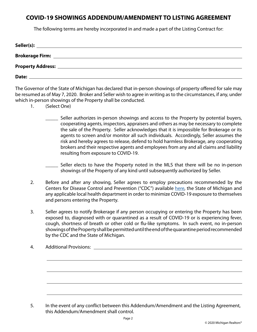## **COVID-19 SHOWINGS ADDENDUM/AMENDMENT TO LISTING AGREEMENT**

The following terms are hereby incorporated in and made a part of the Listing Contract for:

| Seller(s):<br><u> 1989 - John Stone, Amerikaans en Stone († 1989)</u> |  |  |
|-----------------------------------------------------------------------|--|--|
|                                                                       |  |  |
|                                                                       |  |  |
| Date:                                                                 |  |  |

The Governor of the State of Michigan has declared that in-person showings of property offered for sale may be resumed as of May 7, 2020. Broker and Seller wish to agree in writing as to the circumstances, if any, under which in-person showings of the Property shall be conducted.

- 1. (Select One)
	- Seller authorizes in-person showings and access to the Property by potential buyers, cooperating agents, inspectors, appraisers and others as may be necessary to complete the sale of the Property. Seller acknowledges that it is impossible for Brokerage or its agents to screen and/or monitor all such individuals. Accordingly, Seller assumes the risk and hereby agrees to release, defend to hold harmless Brokerage, any cooperating brokers and their respective agents and employees from any and all claims and liability resulting from exposure to COVID-19.

Seller elects to have the Property noted in the MLS that there will be no in-person showings of the Property of any kind until subsequently authorized by Seller.

- 2. Before and after any showing, Seller agrees to employ precautions recommended by the Centers for Disease Control and Prevention ("CDC") available [here](https://www.cdc.gov/coronavirus/2019-ncov/index.html), the State of Michigan and any applicable local health department in order to minimize COVID-19 exposure to themselves and persons entering the Property.
- 3. Seller agrees to notify Brokerage if any person occupying or entering the Property has been exposed to, diagnosed with or quarantined as a result of COVID-19 or is experiencing fever, cough, shortness of breath or other cold or flu-like symptoms. In such event, no in-person showings of the Property shall be permitted until the end of the quarantine period recommended by the CDC and the State of Michigan.
- 4. Additional Provisions:

<sup>5.</sup> In the event of any conflict between this Addendum/Amendment and the Listing Agreement, this Addendum/Amendment shall control.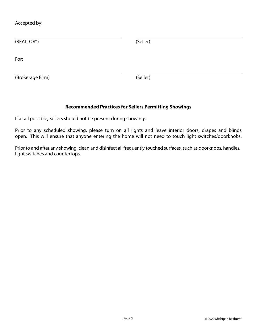Accepted by:

| (REALTOR®)       | (Seller) |  |
|------------------|----------|--|
| For:             |          |  |
| (Brokerage Firm) | (Seller) |  |

#### **Recommended Practices for Sellers Permitting Showings**

If at all possible, Sellers should not be present during showings.

Prior to any scheduled showing, please turn on all lights and leave interior doors, drapes and blinds open. This will ensure that anyone entering the home will not need to touch light switches/doorknobs.

Prior to and after any showing, clean and disinfect all frequently touched surfaces, such as doorknobs, handles, light switches and countertops.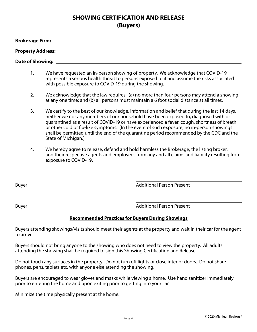# **SHOWING CERTIFICATION AND RELEASE (Buyers)**

| <b>Brokerage Firm:</b>   |  |
|--------------------------|--|
| <b>Property Address:</b> |  |
| <b>Date of Showing:</b>  |  |

- 1. We have requested an in-person showing of property. We acknowledge that COVID-19 represents a serious health threat to persons exposed to it and assume the risks associated with possible exposure to COVID-19 during the showing.
- 2. We acknowledge that the law requires: (a) no more than four persons may attend a showing at any one time; and (b) all persons must maintain a 6 foot social distance at all times.
- 3. We certify to the best of our knowledge, information and belief that during the last 14 days, neither we nor any members of our household have been exposed to, diagnosed with or quarantined as a result of COVID-19 or have experienced a fever, cough, shortness of breath or other cold or flu-like symptoms. (In the event of such exposure, no in-person showings shall be permitted until the end of the quarantine period recommended by the CDC and the State of Michigan.)
- 4. We hereby agree to release, defend and hold harmless the Brokerage, the listing broker, and their respective agents and employees from any and all claims and liability resulting from exposure to COVID-19.

Buyer **Buyer Buyer Buyer Buyer Buyer Buyer Buyer Buyer Buyer Buyer Buyer Buyer Buyer Buyer Buyer Buyer Buyer Buyer Buyer Buyer Buyer Buyer Buyer Buyer Buyer Buyer Buyer**

Buyer **Buyer Buyer Buyer Buyer Buyer Buyer Buyer Buyer Buyer Buyer Buyer Buyer Buyer Buyer Buyer Buyer Buyer Buyer Buyer Buyer Buyer Buyer Buyer Buyer Buyer Buyer Buyer**

#### **Recommended Practices for Buyers During Showings**

Buyers attending showings/visits should meet their agents at the property and wait in their car for the agent to arrive.

Buyers should not bring anyone to the showing who does not need to view the property. All adults attending the showing shall be required to sign this Showing Certification and Release.

Do not touch any surfaces in the property. Do not turn off lights or close interior doors. Do not share phones, pens, tablets etc. with anyone else attending the showing.

Buyers are encouraged to wear gloves and masks while viewing a home. Use hand sanitizer immediately prior to entering the home and upon exiting prior to getting into your car.

Minimize the time physically present at the home.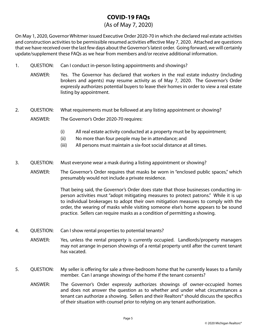# **COVID-19 FAQs**

#### (As of May 7, 2020)

On May 1, 2020, Governor Whitmer issued Executive Order 2020-70 in which she declared real estate activities and construction activities to be permissible resumed activities effective May 7, 2020. Attached are questions that we have received over the last few days about the Governor's latest order. Going forward, we will certainly update/supplement these FAQs as we hear from members and/or receive additional information.

- 1. QUESTION: Can I conduct in-person listing appointments and showings?
	- ANSWER: Yes. The Governor has declared that workers in the real estate industry (including brokers and agents) may resume activity as of May 7, 2020. The Governor's Order expressly authorizes potential buyers to leave their homes in order to view a real estate listing by appointment.
- 2. QUESTION: What requirements must be followed at any listing appointment or showing?

ANSWER: The Governor's Order 2020-70 requires:

- (i) All real estate activity conducted at a property must be by appointment;
- (ii) No more than four people may be in attendance; and
- (iii) All persons must maintain a six-foot social distance at all times.
- 3. QUESTION: Must everyone wear a mask during a listing appointment or showing?
	- ANSWER: The Governor's Order requires that masks be worn in "enclosed public spaces," which presumably would not include a private residence.

 That being said, the Governor's Order does state that those businesses conducting in person activities must "adopt mitigating measures to protect patrons." While it is up to individual brokerages to adopt their own mitigation measures to comply with the order, the wearing of masks while visiting someone else's home appears to be sound practice. Sellers can require masks as a condition of permitting a showing.

- 4. QUESTION: Can I show rental properties to potential tenants?
	- ANSWER: Yes, unless the rental property is currently occupied. Landlords/property managers may not arrange in-person showings of a rental property until after the current tenant has vacated.
- 5. QUESTION: My seller is offering for sale a three-bedroom home that he currently leases to a family member. Can I arrange showings of the home if the tenant consents?
	- ANSWER: The Governor's Order expressly authorizes showings of owner-occupied homes and does not answer the question as to whether and under what circumstances a tenant can authorize a showing. Sellers and their Realtors® should discuss the specifics of their situation with counsel prior to relying on any tenant authorization.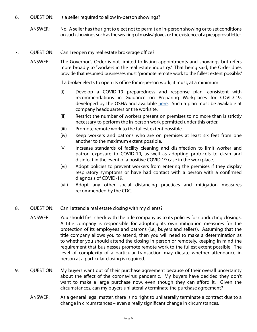- 6. QUESTION: Is a seller required to allow in-person showings?
	- ANSWER: No. A seller has the right to elect not to permit an in-person showing or to set conditions on such showings such as the wearing of masks/gloves or the existence of a preapproval letter.
- 7. QUESTION: Can I reopen my real estate brokerage office?
	- ANSWER: The Governor's Order is not limited to listing appointments and showings but refers more broadly to "workers in the real estate industry." That being said, the Order does provide that resumed businesses must "promote remote work to the fullest extent possible."

If a broker elects to open its office for in-person work, it must, at a minimum:

- (i) Develop a COVID-19 preparedness and response plan, consistent with recommendations in Guidance on Preparing Workplaces for COVID-19, developed by the OSHA and available [here.](https://www.osha.gov/Publications/OSHA3990.pdf) Such a plan must be available at company headquarters or the worksite.
- (ii) Restrict the number of workers present on premises to no more than is strictly necessary to perform the in-person work permitted under this order.
- (iii) Promote remote work to the fullest extent possible.
- (iv) Keep workers and patrons who are on premises at least six feet from one another to the maximum extent possible.
- (v) Increase standards of facility cleaning and disinfection to limit worker and patron exposure to COVID-19, as well as adopting protocols to clean and disinfect in the event of a positive COVID 19 case in the workplace.
- (vi) Adopt policies to prevent workers from entering the premises if they display respiratory symptoms or have had contact with a person with a confirmed diagnosis of COVID-19.
- (vii) Adopt any other social distancing practices and mitigation measures recommended by the CDC.
- 8. QUESTION: Can I attend a real estate closing with my clients?
	- ANSWER: You should first check with the title company as to its policies for conducting closings. A title company is responsible for adopting its own mitigation measures for the protection of its employees and patrons (i.e., buyers and sellers). Assuming that the title company allows you to attend, then you will need to make a determination as to whether you should attend the closing in person or remotely, keeping in mind the requirement that businesses promote remote work to the fullest extent possible. The level of complexity of a particular transaction may dictate whether attendance in person at a particular closing is required.
- 9. QUESTION: My buyers want out of their purchase agreement because of their overall uncertainty about the effect of the coronavirus pandemic. My buyers have decided they don't want to make a large purchase now, even though they can afford it. Given the circumstances, can my buyers unilaterally terminate the purchase agreement?
	- ANSWER: As a general legal matter, there is no right to unilaterally terminate a contract due to a change in circumstances – even a really significant change in circumstances.